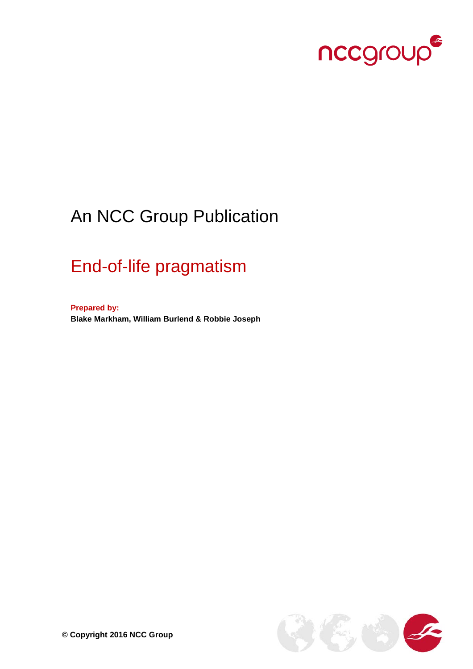

# An NCC Group Publication

# End-of-life pragmatism

**Prepared by: Blake Markham, William Burlend & Robbie Joseph**

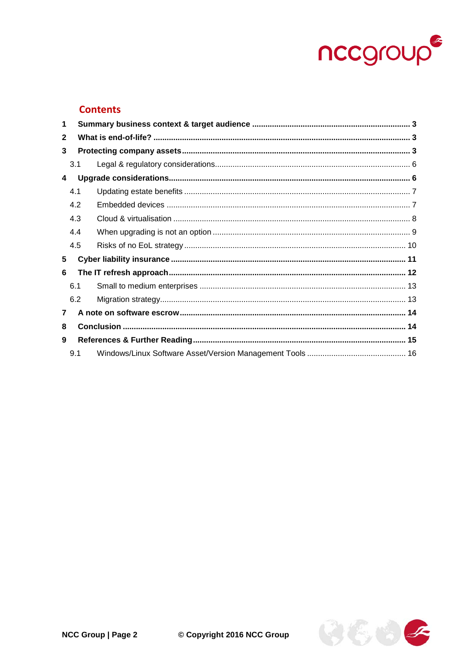

## **Contents**

| 1            |     |     |  |  |  |  |
|--------------|-----|-----|--|--|--|--|
| $\mathbf{2}$ |     |     |  |  |  |  |
| 3            |     |     |  |  |  |  |
|              | 3.1 |     |  |  |  |  |
| 4            |     |     |  |  |  |  |
|              | 4.1 |     |  |  |  |  |
|              |     | 4.2 |  |  |  |  |
|              | 4.3 |     |  |  |  |  |
|              | 4.4 |     |  |  |  |  |
|              | 4.5 |     |  |  |  |  |
| 5            |     |     |  |  |  |  |
| 6            |     |     |  |  |  |  |
|              | 6.1 |     |  |  |  |  |
|              | 6.2 |     |  |  |  |  |
| $\mathbf{7}$ |     |     |  |  |  |  |
| 8            |     |     |  |  |  |  |
| 9            |     |     |  |  |  |  |
|              | 9.1 |     |  |  |  |  |

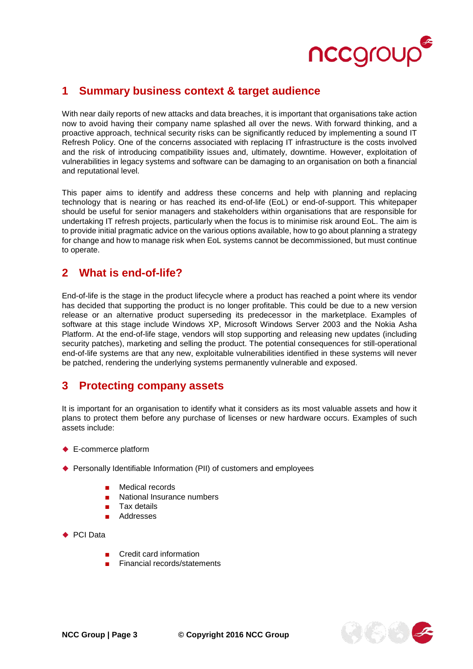

# <span id="page-2-0"></span>**1 Summary business context & target audience**

With near daily reports of new attacks and data breaches, it is important that organisations take action now to avoid having their company name splashed all over the news. With forward thinking, and a proactive approach, technical security risks can be significantly reduced by implementing a sound IT Refresh Policy. One of the concerns associated with replacing IT infrastructure is the costs involved and the risk of introducing compatibility issues and, ultimately, downtime. However, exploitation of vulnerabilities in legacy systems and software can be damaging to an organisation on both a financial and reputational level.

This paper aims to identify and address these concerns and help with planning and replacing technology that is nearing or has reached its end-of-life (EoL) or end-of-support. This whitepaper should be useful for senior managers and stakeholders within organisations that are responsible for undertaking IT refresh projects, particularly when the focus is to minimise risk around EoL. The aim is to provide initial pragmatic advice on the various options available, how to go about planning a strategy for change and how to manage risk when EoL systems cannot be decommissioned, but must continue to operate.

# <span id="page-2-1"></span>**2 What is end-of-life?**

End-of-life is the stage in the product lifecycle where a product has reached a point where its vendor has decided that supporting the product is no longer profitable. This could be due to a new version release or an alternative product superseding its predecessor in the marketplace. Examples of software at this stage include Windows XP, Microsoft Windows Server 2003 and the Nokia Asha Platform. At the end-of-life stage, vendors will stop supporting and releasing new updates (including security patches), marketing and selling the product. The potential consequences for still-operational end-of-life systems are that any new, exploitable vulnerabilities identified in these systems will never be patched, rendering the underlying systems permanently vulnerable and exposed.

# <span id="page-2-2"></span>**3 Protecting company assets**

It is important for an organisation to identify what it considers as its most valuable assets and how it plans to protect them before any purchase of licenses or new hardware occurs. Examples of such assets include:

- ◆ E-commerce platform
- ◆ Personally Identifiable Information (PII) of customers and employees
	- Medical records
	- National Insurance numbers
	- Tax details
	- Addresses
- ◆ PCI Data
	- Credit card information
	- **Financial records/statements**

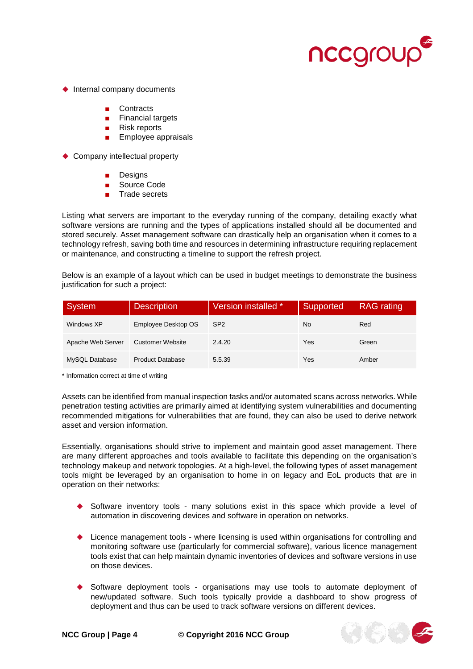

- $\blacklozenge$  Internal company documents
	- Contracts
	- Financial targets
	- Risk reports
	- Employee appraisals

◆ Company intellectual property

- **Designs**
- Source Code
- Trade secrets

Listing what servers are important to the everyday running of the company, detailing exactly what software versions are running and the types of applications installed should all be documented and stored securely. Asset management software can drastically help an organisation when it comes to a technology refresh, saving both time and resources in determining infrastructure requiring replacement or maintenance, and constructing a timeline to support the refresh project.

Below is an example of a layout which can be used in budget meetings to demonstrate the business justification for such a project:

| System            | <b>Description</b>      | Version installed * | Supported | <b>RAG</b> rating |
|-------------------|-------------------------|---------------------|-----------|-------------------|
| Windows XP        | Employee Desktop OS     | SP <sub>2</sub>     | No        | Red               |
| Apache Web Server | <b>Customer Website</b> | 2.4.20              | Yes       | Green             |
| MySQL Database    | <b>Product Database</b> | 5.5.39              | Yes       | Amber             |

\* Information correct at time of writing

Assets can be identified from manual inspection tasks and/or automated scans across networks. While penetration testing activities are primarily aimed at identifying system vulnerabilities and documenting recommended mitigations for vulnerabilities that are found, they can also be used to derive network asset and version information.

Essentially, organisations should strive to implement and maintain good asset management. There are many different approaches and tools available to facilitate this depending on the organisation's technology makeup and network topologies. At a high-level, the following types of asset management tools might be leveraged by an organisation to home in on legacy and EoL products that are in operation on their networks:

- Software inventory tools many solutions exist in this space which provide a level of automation in discovering devices and software in operation on networks.
- Licence management tools where licensing is used within organisations for controlling and monitoring software use (particularly for commercial software), various licence management tools exist that can help maintain dynamic inventories of devices and software versions in use on those devices.
- Software deployment tools organisations may use tools to automate deployment of new/updated software. Such tools typically provide a dashboard to show progress of deployment and thus can be used to track software versions on different devices.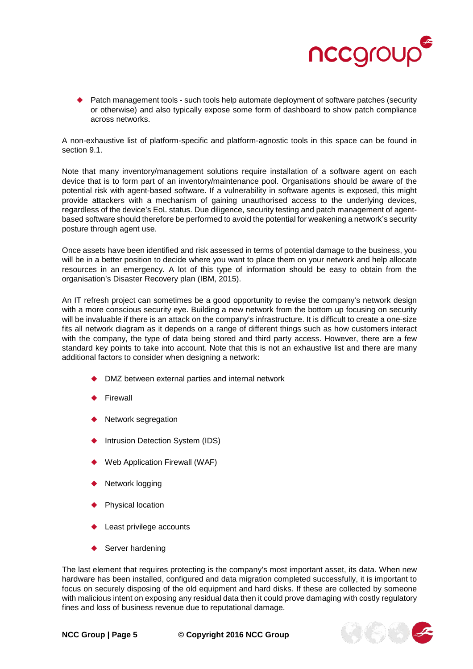

 Patch management tools - such tools help automate deployment of software patches (security or otherwise) and also typically expose some form of dashboard to show patch compliance across networks.

A non-exhaustive list of platform-specific and platform-agnostic tools in this space can be found in section [9.1.](#page-15-0)

Note that many inventory/management solutions require installation of a software agent on each device that is to form part of an inventory/maintenance pool. Organisations should be aware of the potential risk with agent-based software. If a vulnerability in software agents is exposed, this might provide attackers with a mechanism of gaining unauthorised access to the underlying devices, regardless of the device's EoL status. Due diligence, security testing and patch management of agentbased software should therefore be performed to avoid the potential for weakening a network's security posture through agent use.

Once assets have been identified and risk assessed in terms of potential damage to the business, you will be in a better position to decide where you want to place them on your network and help allocate resources in an emergency. A lot of this type of information should be easy to obtain from the organisation's Disaster Recovery plan (IBM, 2015).

An IT refresh project can sometimes be a good opportunity to revise the company's network design with a more conscious security eye. Building a new network from the bottom up focusing on security will be invaluable if there is an attack on the company's infrastructure. It is difficult to create a one-size fits all network diagram as it depends on a range of different things such as how customers interact with the company, the type of data being stored and third party access. However, there are a few standard key points to take into account. Note that this is not an exhaustive list and there are many additional factors to consider when designing a network:

- ◆ DMZ between external parties and internal network
- Firewall
- Network segregation
- Intrusion Detection System (IDS)
- Web Application Firewall (WAF)
- Network logging
- Physical location
- Least privilege accounts
- Server hardening

The last element that requires protecting is the company's most important asset, its data. When new hardware has been installed, configured and data migration completed successfully, it is important to focus on securely disposing of the old equipment and hard disks. If these are collected by someone with malicious intent on exposing any residual data then it could prove damaging with costly regulatory fines and loss of business revenue due to reputational damage.

**NCC Group | Page 5 © Copyright 2016 NCC Group**

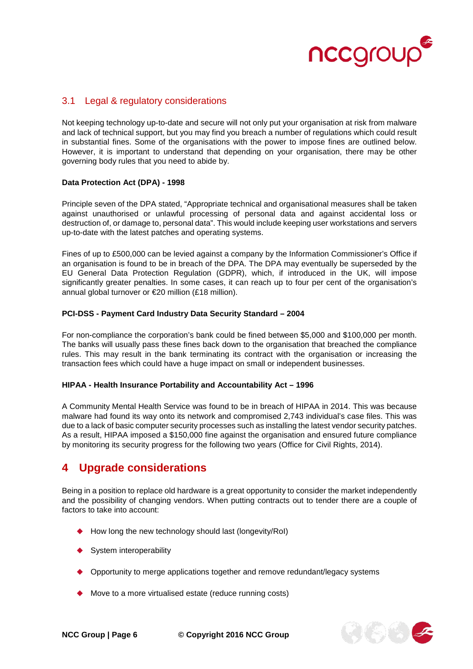

## <span id="page-5-0"></span>3.1 Legal & regulatory considerations

Not keeping technology up-to-date and secure will not only put your organisation at risk from malware and lack of technical support, but you may find you breach a number of regulations which could result in substantial fines. Some of the organisations with the power to impose fines are outlined below. However, it is important to understand that depending on your organisation, there may be other governing body rules that you need to abide by.

#### **Data Protection Act (DPA) - 1998**

Principle seven of the DPA stated, "Appropriate technical and organisational measures shall be taken against unauthorised or unlawful processing of personal data and against accidental loss or destruction of, or damage to, personal data". This would include keeping user workstations and servers up-to-date with the latest patches and operating systems.

Fines of up to £500,000 can be levied against a company by the Information Commissioner's Office if an organisation is found to be in breach of the DPA. The DPA may eventually be superseded by the EU General Data Protection Regulation (GDPR), which, if introduced in the UK, will impose significantly greater penalties. In some cases, it can reach up to four per cent of the organisation's annual global turnover or €20 million (£18 million).

#### **PCI-DSS - Payment Card Industry Data Security Standard – 2004**

For non-compliance the corporation's bank could be fined between \$5,000 and \$100,000 per month. The banks will usually pass these fines back down to the organisation that breached the compliance rules. This may result in the bank terminating its contract with the organisation or increasing the transaction fees which could have a huge impact on small or independent businesses.

#### **HIPAA - Health Insurance Portability and Accountability Act – 1996**

A Community Mental Health Service was found to be in breach of HIPAA in 2014. This was because malware had found its way onto its network and compromised 2,743 individual's case files. This was due to a lack of basic computer security processes such as installing the latest vendor security patches. As a result, HIPAA imposed a \$150,000 fine against the organisation and ensured future compliance by monitoring its security progress for the following two years (Office for Civil Rights, 2014).

## <span id="page-5-1"></span>**4 Upgrade considerations**

Being in a position to replace old hardware is a great opportunity to consider the market independently and the possibility of changing vendors. When putting contracts out to tender there are a couple of factors to take into account:

- How long the new technology should last (longevity/RoI)
- System interoperability
- ◆ Opportunity to merge applications together and remove redundant/legacy systems
- ◆ Move to a more virtualised estate (reduce running costs)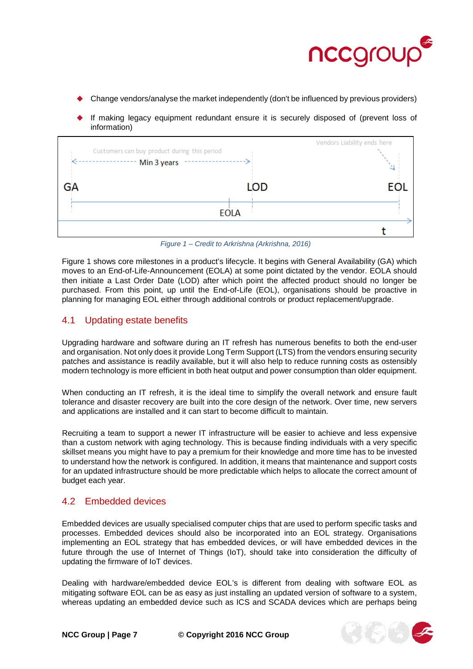

- Change vendors/analyse the market independently (don't be influenced by previous providers)
- If making legacy equipment redundant ensure it is securely disposed of (prevent loss of information)

|    | Customers can buy product during this period<br>Min 3 years |             | Vendors Liability ends here |    |
|----|-------------------------------------------------------------|-------------|-----------------------------|----|
| GА |                                                             | <b>LOD</b>  |                             | FС |
|    |                                                             | <b>EOLA</b> |                             |    |
|    |                                                             |             |                             |    |

*Figure 1 – Credit to Arkrishna (Arkrishna, 2016)*

Figure 1 shows core milestones in a product's lifecycle. It begins with General Availability (GA) which moves to an End-of-Life-Announcement (EOLA) at some point dictated by the vendor. EOLA should then initiate a Last Order Date (LOD) after which point the affected product should no longer be purchased. From this point, up until the End-of-Life (EOL), organisations should be proactive in planning for managing EOL either through additional controls or product replacement/upgrade.

### <span id="page-6-0"></span>4.1 Updating estate benefits

Upgrading hardware and software during an IT refresh has numerous benefits to both the end-user and organisation. Not only does it provide Long Term Support (LTS) from the vendors ensuring security patches and assistance is readily available, but it will also help to reduce running costs as ostensibly modern technology is more efficient in both heat output and power consumption than older equipment.

When conducting an IT refresh, it is the ideal time to simplify the overall network and ensure fault tolerance and disaster recovery are built into the core design of the network. Over time, new servers and applications are installed and it can start to become difficult to maintain.

Recruiting a team to support a newer IT infrastructure will be easier to achieve and less expensive than a custom network with aging technology. This is because finding individuals with a very specific skillset means you might have to pay a premium for their knowledge and more time has to be invested to understand how the network is configured. In addition, it means that maintenance and support costs for an updated infrastructure should be more predictable which helps to allocate the correct amount of budget each year.

### <span id="page-6-1"></span>4.2 Embedded devices

Embedded devices are usually specialised computer chips that are used to perform specific tasks and processes. Embedded devices should also be incorporated into an EOL strategy. Organisations implementing an EOL strategy that has embedded devices, or will have embedded devices in the future through the use of Internet of Things (IoT), should take into consideration the difficulty of updating the firmware of IoT devices.

Dealing with hardware/embedded device EOL's is different from dealing with software EOL as mitigating software EOL can be as easy as just installing an updated version of software to a system, whereas updating an embedded device such as ICS and SCADA devices which are perhaps being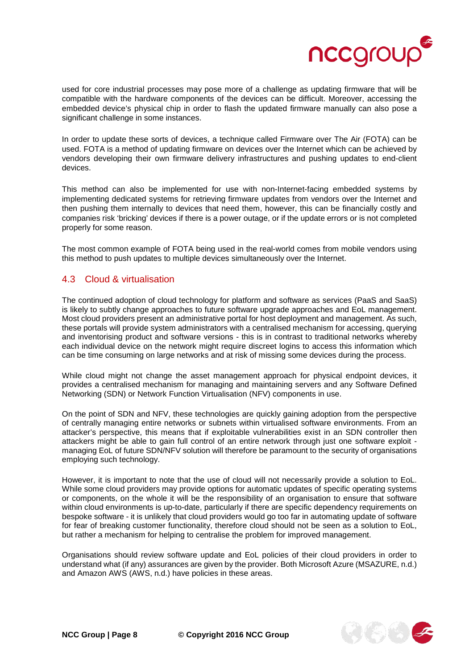

used for core industrial processes may pose more of a challenge as updating firmware that will be compatible with the hardware components of the devices can be difficult. Moreover, accessing the embedded device's physical chip in order to flash the updated firmware manually can also pose a significant challenge in some instances.

In order to update these sorts of devices, a technique called Firmware over The Air (FOTA) can be used. FOTA is a method of updating firmware on devices over the Internet which can be achieved by vendors developing their own firmware delivery infrastructures and pushing updates to end-client devices.

This method can also be implemented for use with non-Internet-facing embedded systems by implementing dedicated systems for retrieving firmware updates from vendors over the Internet and then pushing them internally to devices that need them, however, this can be financially costly and companies risk 'bricking' devices if there is a power outage, or if the update errors or is not completed properly for some reason.

The most common example of FOTA being used in the real-world comes from mobile vendors using this method to push updates to multiple devices simultaneously over the Internet.

### <span id="page-7-0"></span>4.3 Cloud & virtualisation

The continued adoption of cloud technology for platform and software as services (PaaS and SaaS) is likely to subtly change approaches to future software upgrade approaches and EoL management. Most cloud providers present an administrative portal for host deployment and management. As such, these portals will provide system administrators with a centralised mechanism for accessing, querying and inventorising product and software versions - this is in contrast to traditional networks whereby each individual device on the network might require discreet logins to access this information which can be time consuming on large networks and at risk of missing some devices during the process.

While cloud might not change the asset management approach for physical endpoint devices, it provides a centralised mechanism for managing and maintaining servers and any Software Defined Networking (SDN) or Network Function Virtualisation (NFV) components in use.

On the point of SDN and NFV, these technologies are quickly gaining adoption from the perspective of centrally managing entire networks or subnets within virtualised software environments. From an attacker's perspective, this means that if exploitable vulnerabilities exist in an SDN controller then attackers might be able to gain full control of an entire network through just one software exploit managing EoL of future SDN/NFV solution will therefore be paramount to the security of organisations employing such technology.

However, it is important to note that the use of cloud will not necessarily provide a solution to EoL. While some cloud providers may provide options for automatic updates of specific operating systems or components, on the whole it will be the responsibility of an organisation to ensure that software within cloud environments is up-to-date, particularly if there are specific dependency requirements on bespoke software - it is unlikely that cloud providers would go too far in automating update of software for fear of breaking customer functionality, therefore cloud should not be seen as a solution to EoL, but rather a mechanism for helping to centralise the problem for improved management.

Organisations should review software update and EoL policies of their cloud providers in order to understand what (if any) assurances are given by the provider. Both Microsoft Azure (MSAZURE, n.d.) and Amazon AWS (AWS, n.d.) have policies in these areas.

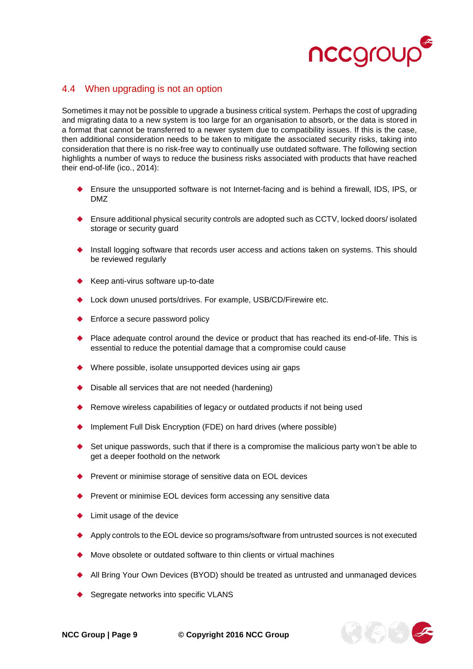

## <span id="page-8-0"></span>4.4 When upgrading is not an option

Sometimes it may not be possible to upgrade a business critical system. Perhaps the cost of upgrading and migrating data to a new system is too large for an organisation to absorb, or the data is stored in a format that cannot be transferred to a newer system due to compatibility issues. If this is the case, then additional consideration needs to be taken to mitigate the associated security risks, taking into consideration that there is no risk-free way to continually use outdated software. The following section highlights a number of ways to reduce the business risks associated with products that have reached their end-of-life (ico., 2014):

- Ensure the unsupported software is not Internet-facing and is behind a firewall, IDS, IPS, or DMZ
- ◆ Ensure additional physical security controls are adopted such as CCTV, locked doors/ isolated storage or security guard
- Install logging software that records user access and actions taken on systems. This should be reviewed regularly
- ◆ Keep anti-virus software up-to-date
- Lock down unused ports/drives. For example, USB/CD/Firewire etc.
- ◆ Enforce a secure password policy
- ◆ Place adequate control around the device or product that has reached its end-of-life. This is essential to reduce the potential damage that a compromise could cause
- Where possible, isolate unsupported devices using air gaps
- Disable all services that are not needed (hardening)
- Remove wireless capabilities of legacy or outdated products if not being used
- Implement Full Disk Encryption (FDE) on hard drives (where possible)
- $\blacklozenge$  Set unique passwords, such that if there is a compromise the malicious party won't be able to get a deeper foothold on the network
- Prevent or minimise storage of sensitive data on EOL devices
- Prevent or minimise EOL devices form accessing any sensitive data
- Limit usage of the device
- Apply controls to the EOL device so programs/software from untrusted sources is not executed
- Move obsolete or outdated software to thin clients or virtual machines
- All Bring Your Own Devices (BYOD) should be treated as untrusted and unmanaged devices
- Segregate networks into specific VLANS

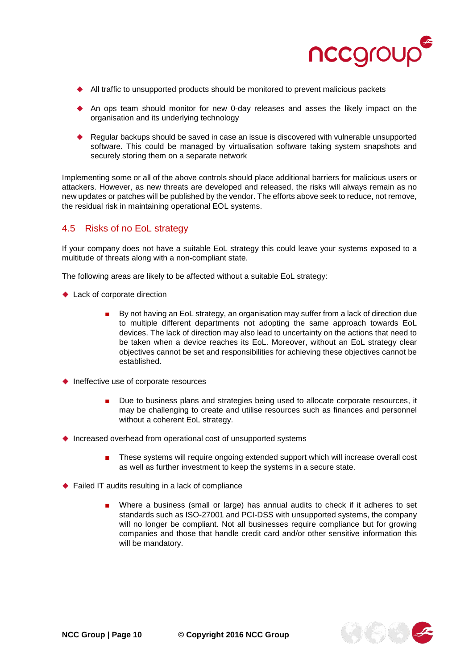

- All traffic to unsupported products should be monitored to prevent malicious packets
- An ops team should monitor for new 0-day releases and asses the likely impact on the organisation and its underlying technology
- ◆ Regular backups should be saved in case an issue is discovered with vulnerable unsupported software. This could be managed by virtualisation software taking system snapshots and securely storing them on a separate network

Implementing some or all of the above controls should place additional barriers for malicious users or attackers. However, as new threats are developed and released, the risks will always remain as no new updates or patches will be published by the vendor. The efforts above seek to reduce, not remove, the residual risk in maintaining operational EOL systems.

## <span id="page-9-0"></span>4.5 Risks of no EoL strategy

If your company does not have a suitable EoL strategy this could leave your systems exposed to a multitude of threats along with a non-compliant state.

The following areas are likely to be affected without a suitable EoL strategy:

- ◆ Lack of corporate direction
	- By not having an EoL strategy, an organisation may suffer from a lack of direction due to multiple different departments not adopting the same approach towards EoL devices. The lack of direction may also lead to uncertainty on the actions that need to be taken when a device reaches its EoL. Moreover, without an EoL strategy clear objectives cannot be set and responsibilities for achieving these objectives cannot be established.
- $\blacklozenge$  Ineffective use of corporate resources
	- Due to business plans and strategies being used to allocate corporate resources, it may be challenging to create and utilise resources such as finances and personnel without a coherent EoL strategy.
- ◆ Increased overhead from operational cost of unsupported systems
	- These systems will require ongoing extended support which will increase overall cost as well as further investment to keep the systems in a secure state.
- ◆ Failed IT audits resulting in a lack of compliance
	- Where a business (small or large) has annual audits to check if it adheres to set standards such as ISO-27001 and PCI-DSS with unsupported systems, the company will no longer be compliant. Not all businesses require compliance but for growing companies and those that handle credit card and/or other sensitive information this will be mandatory.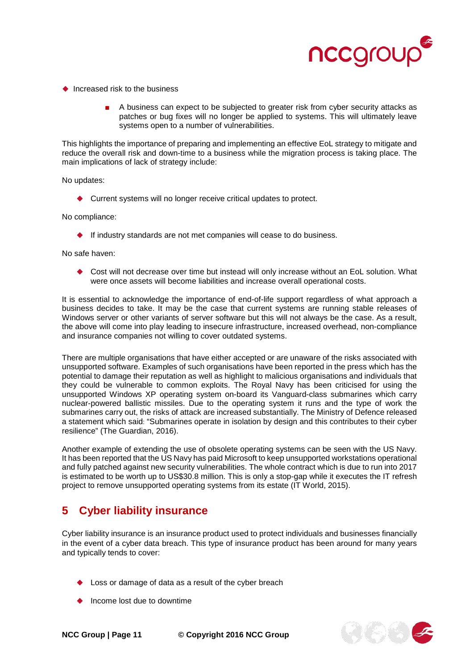

- $\triangle$  Increased risk to the business
	- A business can expect to be subjected to greater risk from cyber security attacks as patches or bug fixes will no longer be applied to systems. This will ultimately leave systems open to a number of vulnerabilities.

This highlights the importance of preparing and implementing an effective EoL strategy to mitigate and reduce the overall risk and down-time to a business while the migration process is taking place. The main implications of lack of strategy include:

No updates:

◆ Current systems will no longer receive critical updates to protect.

No compliance:

If industry standards are not met companies will cease to do business.

No safe haven:

◆ Cost will not decrease over time but instead will only increase without an EoL solution. What were once assets will become liabilities and increase overall operational costs.

It is essential to acknowledge the importance of end-of-life support regardless of what approach a business decides to take. It may be the case that current systems are running stable releases of Windows server or other variants of server software but this will not always be the case. As a result, the above will come into play leading to insecure infrastructure, increased overhead, non-compliance and insurance companies not willing to cover outdated systems.

There are multiple organisations that have either accepted or are unaware of the risks associated with unsupported software. Examples of such organisations have been reported in the press which has the potential to damage their reputation as well as highlight to malicious organisations and individuals that they could be vulnerable to common exploits. The Royal Navy has been criticised for using the unsupported Windows XP operating system on-board its Vanguard-class submarines which carry nuclear-powered ballistic missiles. Due to the operating system it runs and the type of work the submarines carry out, the risks of attack are increased substantially. The Ministry of Defence released a statement which said: "Submarines operate in isolation by design and this contributes to their cyber resilience" (The Guardian, 2016).

Another example of extending the use of obsolete operating systems can be seen with the US Navy. It has been reported that the US Navy has paid Microsoft to keep unsupported workstations operational and fully patched against new security vulnerabilities. The whole contract which is due to run into 2017 is estimated to be worth up to US\$30.8 million. This is only a stop-gap while it executes the IT refresh project to remove unsupported operating systems from its estate (IT World, 2015).

# <span id="page-10-0"></span>**5 Cyber liability insurance**

Cyber liability insurance is an insurance product used to protect individuals and businesses financially in the event of a cyber data breach. This type of insurance product has been around for many years and typically tends to cover:

- Loss or damage of data as a result of the cyber breach
- Income lost due to downtime

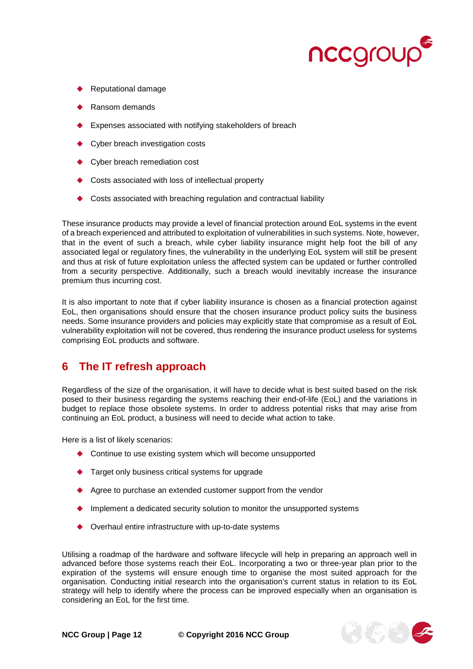

- Reputational damage
- Ransom demands
- Expenses associated with notifying stakeholders of breach
- Cyber breach investigation costs
- Cyber breach remediation cost
- Costs associated with loss of intellectual property
- Costs associated with breaching regulation and contractual liability

These insurance products may provide a level of financial protection around EoL systems in the event of a breach experienced and attributed to exploitation of vulnerabilities in such systems. Note, however, that in the event of such a breach, while cyber liability insurance might help foot the bill of any associated legal or regulatory fines, the vulnerability in the underlying EoL system will still be present and thus at risk of future exploitation unless the affected system can be updated or further controlled from a security perspective. Additionally, such a breach would inevitably increase the insurance premium thus incurring cost.

It is also important to note that if cyber liability insurance is chosen as a financial protection against EoL, then organisations should ensure that the chosen insurance product policy suits the business needs. Some insurance providers and policies may explicitly state that compromise as a result of EoL vulnerability exploitation will not be covered, thus rendering the insurance product useless for systems comprising EoL products and software.

## <span id="page-11-0"></span>**6 The IT refresh approach**

Regardless of the size of the organisation, it will have to decide what is best suited based on the risk posed to their business regarding the systems reaching their end-of-life (EoL) and the variations in budget to replace those obsolete systems. In order to address potential risks that may arise from continuing an EoL product, a business will need to decide what action to take.

Here is a list of likely scenarios:

- ◆ Continue to use existing system which will become unsupported
- Target only business critical systems for upgrade
- ◆ Agree to purchase an extended customer support from the vendor
- ♦ Implement a dedicated security solution to monitor the unsupported systems
- ◆ Overhaul entire infrastructure with up-to-date systems

Utilising a roadmap of the hardware and software lifecycle will help in preparing an approach well in advanced before those systems reach their EoL. Incorporating a two or three-year plan prior to the expiration of the systems will ensure enough time to organise the most suited approach for the organisation. Conducting initial research into the organisation's current status in relation to its EoL strategy will help to identify where the process can be improved especially when an organisation is considering an EoL for the first time.

**NCC Group | Page 12 © Copyright 2016 NCC Group**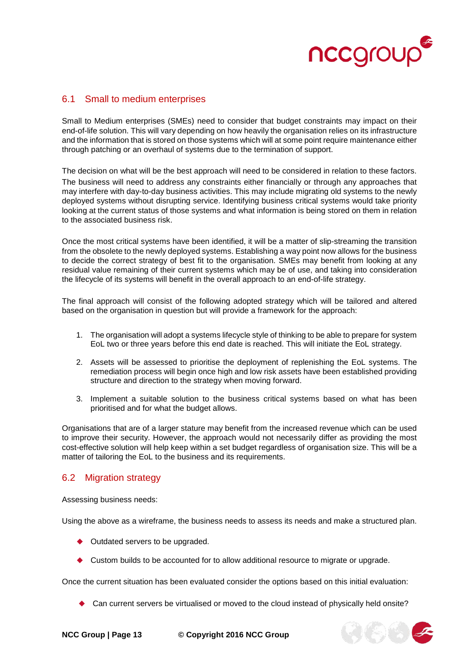

### <span id="page-12-0"></span>6.1 Small to medium enterprises

Small to Medium enterprises (SMEs) need to consider that budget constraints may impact on their end-of-life solution. This will vary depending on how heavily the organisation relies on its infrastructure and the information that is stored on those systems which will at some point require maintenance either through patching or an overhaul of systems due to the termination of support.

The decision on what will be the best approach will need to be considered in relation to these factors. The business will need to address any constraints either financially or through any approaches that may interfere with day-to-day business activities. This may include migrating old systems to the newly deployed systems without disrupting service. Identifying business critical systems would take priority looking at the current status of those systems and what information is being stored on them in relation to the associated business risk.

Once the most critical systems have been identified, it will be a matter of slip-streaming the transition from the obsolete to the newly deployed systems. Establishing a way point now allows for the business to decide the correct strategy of best fit to the organisation. SMEs may benefit from looking at any residual value remaining of their current systems which may be of use, and taking into consideration the lifecycle of its systems will benefit in the overall approach to an end-of-life strategy.

The final approach will consist of the following adopted strategy which will be tailored and altered based on the organisation in question but will provide a framework for the approach:

- 1. The organisation will adopt a systems lifecycle style of thinking to be able to prepare for system EoL two or three years before this end date is reached. This will initiate the EoL strategy.
- 2. Assets will be assessed to prioritise the deployment of replenishing the EoL systems. The remediation process will begin once high and low risk assets have been established providing structure and direction to the strategy when moving forward.
- 3. Implement a suitable solution to the business critical systems based on what has been prioritised and for what the budget allows.

Organisations that are of a larger stature may benefit from the increased revenue which can be used to improve their security. However, the approach would not necessarily differ as providing the most cost-effective solution will help keep within a set budget regardless of organisation size. This will be a matter of tailoring the EoL to the business and its requirements.

### <span id="page-12-1"></span>6.2 Migration strategy

Assessing business needs:

Using the above as a wireframe, the business needs to assess its needs and make a structured plan.

- ◆ Outdated servers to be upgraded.
- Custom builds to be accounted for to allow additional resource to migrate or upgrade.

Once the current situation has been evaluated consider the options based on this initial evaluation:

◆ Can current servers be virtualised or moved to the cloud instead of physically held onsite?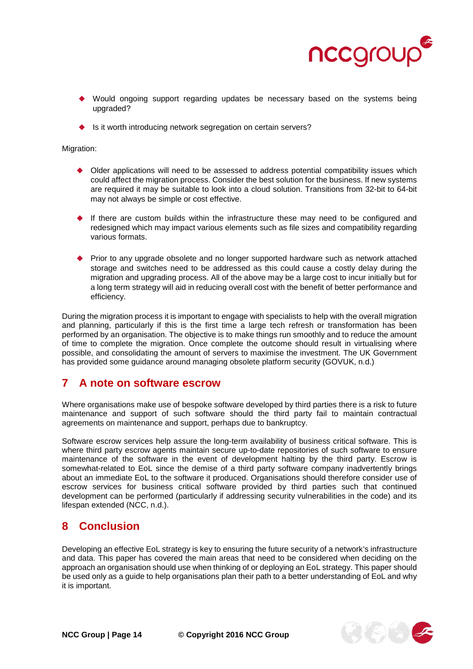

- Would ongoing support regarding updates be necessary based on the systems being upgraded?
- $\bullet$  Is it worth introducing network segregation on certain servers?

Migration:

- Older applications will need to be assessed to address potential compatibility issues which could affect the migration process. Consider the best solution for the business. If new systems are required it may be suitable to look into a cloud solution. Transitions from 32-bit to 64-bit may not always be simple or cost effective.
- If there are custom builds within the infrastructure these may need to be configured and redesigned which may impact various elements such as file sizes and compatibility regarding various formats.
- ◆ Prior to any upgrade obsolete and no longer supported hardware such as network attached storage and switches need to be addressed as this could cause a costly delay during the migration and upgrading process. All of the above may be a large cost to incur initially but for a long term strategy will aid in reducing overall cost with the benefit of better performance and efficiency.

During the migration process it is important to engage with specialists to help with the overall migration and planning, particularly if this is the first time a large tech refresh or transformation has been performed by an organisation. The objective is to make things run smoothly and to reduce the amount of time to complete the migration. Once complete the outcome should result in virtualising where possible, and consolidating the amount of servers to maximise the investment. The UK Government has provided some guidance around managing obsolete platform security (GOVUK, n.d.)

## <span id="page-13-0"></span>**7 A note on software escrow**

Where organisations make use of bespoke software developed by third parties there is a risk to future maintenance and support of such software should the third party fail to maintain contractual agreements on maintenance and support, perhaps due to bankruptcy.

Software escrow services help assure the long-term availability of business critical software. This is where third party escrow agents maintain secure up-to-date repositories of such software to ensure maintenance of the software in the event of development halting by the third party. Escrow is somewhat-related to EoL since the demise of a third party software company inadvertently brings about an immediate EoL to the software it produced. Organisations should therefore consider use of escrow services for business critical software provided by third parties such that continued development can be performed (particularly if addressing security vulnerabilities in the code) and its lifespan extended (NCC, n.d.).

## <span id="page-13-1"></span>**8 Conclusion**

Developing an effective EoL strategy is key to ensuring the future security of a network's infrastructure and data. This paper has covered the main areas that need to be considered when deciding on the approach an organisation should use when thinking of or deploying an EoL strategy. This paper should be used only as a guide to help organisations plan their path to a better understanding of EoL and why it is important.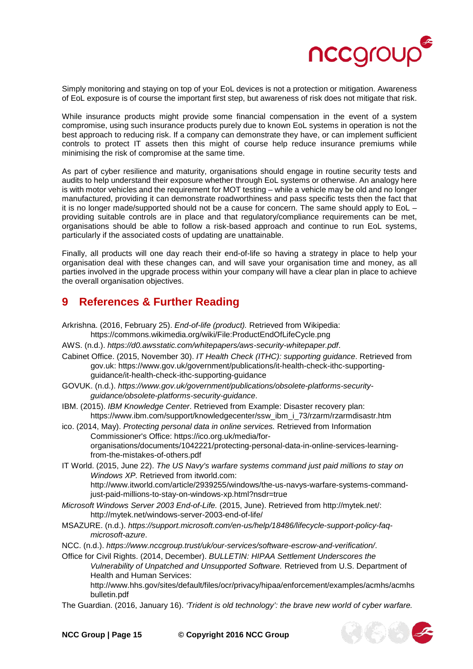

Simply monitoring and staying on top of your EoL devices is not a protection or mitigation. Awareness of EoL exposure is of course the important first step, but awareness of risk does not mitigate that risk.

While insurance products might provide some financial compensation in the event of a system compromise, using such insurance products purely due to known EoL systems in operation is not the best approach to reducing risk. If a company can demonstrate they have, or can implement sufficient controls to protect IT assets then this might of course help reduce insurance premiums while minimising the risk of compromise at the same time.

As part of cyber resilience and maturity, organisations should engage in routine security tests and audits to help understand their exposure whether through EoL systems or otherwise. An analogy here is with motor vehicles and the requirement for MOT testing – while a vehicle may be old and no longer manufactured, providing it can demonstrate roadworthiness and pass specific tests then the fact that it is no longer made/supported should not be a cause for concern. The same should apply to EoL – providing suitable controls are in place and that regulatory/compliance requirements can be met, organisations should be able to follow a risk-based approach and continue to run EoL systems, particularly if the associated costs of updating are unattainable.

Finally, all products will one day reach their end-of-life so having a strategy in place to help your organisation deal with these changes can, and will save your organisation time and money, as all parties involved in the upgrade process within your company will have a clear plan in place to achieve the overall organisation objectives.

## <span id="page-14-0"></span>**9 References & Further Reading**

- Arkrishna. (2016, February 25). *End-of-life (product).* Retrieved from Wikipedia: https://commons.wikimedia.org/wiki/File:ProductEndOfLifeCycle.png
- AWS. (n.d.). *https://d0.awsstatic.com/whitepapers/aws-security-whitepaper.pdf*.
- Cabinet Office. (2015, November 30). *IT Health Check (ITHC): supporting guidance*. Retrieved from gov.uk: https://www.gov.uk/government/publications/it-health-check-ithc-supportingguidance/it-health-check-ithc-supporting-guidance
- GOVUK. (n.d.). *https://www.gov.uk/government/publications/obsolete-platforms-securityguidance/obsolete-platforms-security-guidance*.
- IBM. (2015). *IBM Knowledge Center*. Retrieved from Example: Disaster recovery plan: https://www.ibm.com/support/knowledgecenter/ssw\_ibm\_i\_73/rzarm/rzarmdisastr.htm
- ico. (2014, May). *Protecting personal data in online services.* Retrieved from Information Commissioner's Office: https://ico.org.uk/media/fororganisations/documents/1042221/protecting-personal-data-in-online-services-learningfrom-the-mistakes-of-others.pdf
- IT World. (2015, June 22). *The US Navy's warfare systems command just paid millions to stay on Windows XP.* Retrieved from itworld.com: http://www.itworld.com/article/2939255/windows/the-us-navys-warfare-systems-commandjust-paid-millions-to-stay-on-windows-xp.html?nsdr=true
- *Microsoft Windows Server 2003 End-of-Life.* (2015, June). Retrieved from http://mytek.net/: http://mytek.net/windows-server-2003-end-of-life/
- MSAZURE. (n.d.). *https://support.microsoft.com/en-us/help/18486/lifecycle-support-policy-faqmicrosoft-azure*.
- NCC. (n.d.). *https://www.nccgroup.trust/uk/our-services/software-escrow-and-verification/*.
- Office for Civil Rights. (2014, December). *BULLETIN: HIPAA Settlement Underscores the Vulnerability of Unpatched and Unsupported Software.* Retrieved from U.S. Department of Health and Human Services: http://www.hhs.gov/sites/default/files/ocr/privacy/hipaa/enforcement/examples/acmhs/acmhs
	- bulletin.pdf
- The Guardian. (2016, January 16). *'Trident is old technology': the brave new world of cyber warfare.*